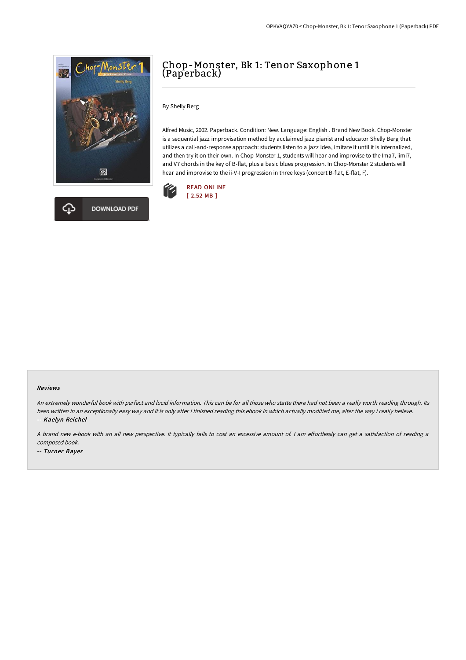



# Chop-Monster, Bk 1: Tenor Saxophone 1 (Paperback)

By Shelly Berg

Alfred Music, 2002. Paperback. Condition: New. Language: English . Brand New Book. Chop-Monster is a sequential jazz improvisation method by acclaimed jazz pianist and educator Shelly Berg that utilizes a call-and-response approach: students listen to a jazz idea, imitate it until it is internalized, and then try it on their own. In Chop-Monster 1, students will hear and improvise to the Ima7, iimi7, and V7 chords in the key of B-flat, plus a basic blues progression. In Chop-Monster 2 students will hear and improvise to the ii-V-I progression in three keys (concert B-flat, E-flat, F).



#### Reviews

An extremely wonderful book with perfect and lucid information. This can be for all those who statte there had not been <sup>a</sup> really worth reading through. Its been written in an exceptionally easy way and it is only after i finished reading this ebook in which actually modified me, alter the way i really believe. -- Kaelyn Reichel

A brand new e-book with an all new perspective. It typically fails to cost an excessive amount of. I am effortlessly can get a satisfaction of reading a composed book.

-- Turner Bayer